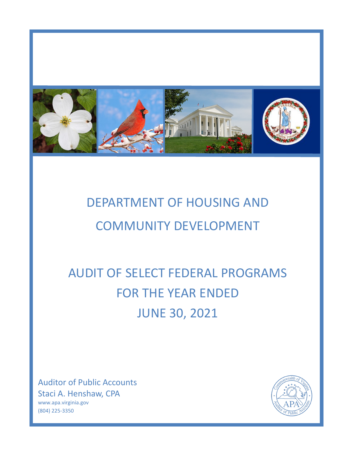

# DEPARTMENT OF HOUSING AND COMMUNITY DEVELOPMENT

# AUDIT OF SELECT FEDERAL PROGRAMS FOR THE YEAR ENDED JUNE 30, 2021

Auditor of Public Accounts Staci A. Henshaw, CPA www.apa.virginia.gov (804) 225-3350

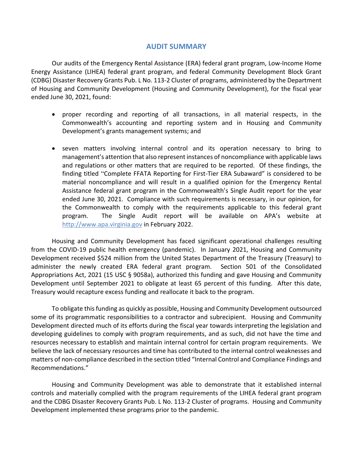#### **AUDIT SUMMARY**

Our audits of the Emergency Rental Assistance (ERA) federal grant program, Low-Income Home Energy Assistance (LIHEA) federal grant program, and federal Community Development Block Grant (CDBG) Disaster Recovery Grants Pub. L No. 113-2 Cluster of programs, administered by the Department of Housing and Community Development (Housing and Community Development), for the fiscal year ended June 30, 2021, found:

- proper recording and reporting of all transactions, in all material respects, in the Commonwealth's accounting and reporting system and in Housing and Community Development's grants management systems; and
- seven matters involving internal control and its operation necessary to bring to management's attention that also represent instances of noncompliance with applicable laws and regulations or other matters that are required to be reported. Of these findings, the finding titled "Complete FFATA Reporting for First-Tier ERA Subaward" is considered to be material noncompliance and will result in a qualified opinion for the Emergency Rental Assistance federal grant program in the Commonwealth's Single Audit report for the year ended June 30, 2021. Compliance with such requirements is necessary, in our opinion, for the Commonwealth to comply with the requirements applicable to this federal grant program. The Single Audit report will be available on APA's website at [http://www.apa.virginia.gov](http://www.apa.virginia.gov/) in February 2022.

Housing and Community Development has faced significant operational challenges resulting from the COVID-19 public health emergency (pandemic). In January 2021, Housing and Community Development received \$524 million from the United States Department of the Treasury (Treasury) to administer the newly created ERA federal grant program. Section 501 of the Consolidated Appropriations Act, 2021 (15 USC § 9058a), authorized this funding and gave Housing and Community Development until September 2021 to obligate at least 65 percent of this funding. After this date, Treasury would recapture excess funding and reallocate it back to the program.

To obligate this funding as quickly as possible, Housing and Community Development outsourced some of its programmatic responsibilities to a contractor and subrecipient. Housing and Community Development directed much of its efforts during the fiscal year towards interpreting the legislation and developing guidelines to comply with program requirements, and as such, did not have the time and resources necessary to establish and maintain internal control for certain program requirements. We believe the lack of necessary resources and time has contributed to the internal control weaknesses and matters of non-compliance described in the section titled "Internal Control and Compliance Findings and Recommendations."

Housing and Community Development was able to demonstrate that it established internal controls and materially complied with the program requirements of the LIHEA federal grant program and the CDBG Disaster Recovery Grants Pub. L No. 113-2 Cluster of programs. Housing and Community Development implemented these programs prior to the pandemic.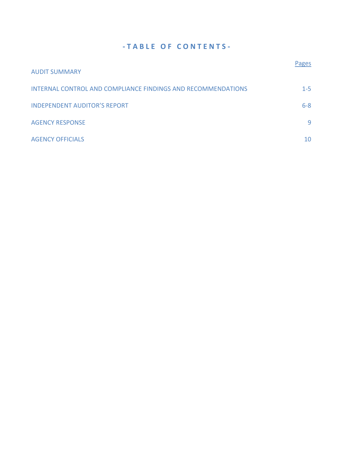### **- T A B L E O F C O N T E N T S -**

| <b>AUDIT SUMMARY</b>                                         | <b>Pages</b> |
|--------------------------------------------------------------|--------------|
| INTERNAL CONTROL AND COMPLIANCE FINDINGS AND RECOMMENDATIONS | $1 - 5$      |
| <b>INDEPENDENT AUDITOR'S REPORT</b>                          | $6 - 8$      |
| <b>AGENCY RESPONSE</b>                                       | 9            |
| <b>AGENCY OFFICIALS</b>                                      | 10           |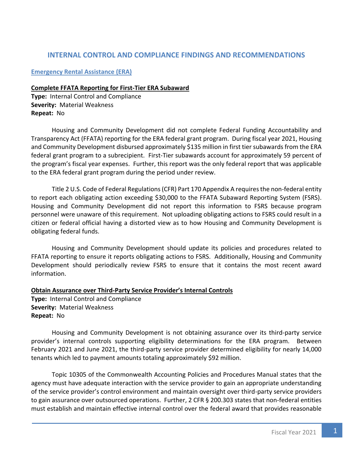### <span id="page-3-0"></span>**INTERNAL CONTROL AND COMPLIANCE FINDINGS AND RECOMMENDATIONS**

#### **Emergency Rental Assistance (ERA)**

#### **Complete FFATA Reporting for First-Tier ERA Subaward**

**Type:** Internal Control and Compliance **Severity:** Material Weakness **Repeat:** No

Housing and Community Development did not complete Federal Funding Accountability and Transparency Act (FFATA) reporting for the ERA federal grant program. During fiscal year 2021, Housing and Community Development disbursed approximately \$135 million in first tier subawards from the ERA federal grant program to a subrecipient. First-Tier subawards account for approximately 59 percent of the program's fiscal year expenses. Further, this report was the only federal report that was applicable to the ERA federal grant program during the period under review.

Title 2 U.S. Code of Federal Regulations (CFR) Part 170 Appendix A requires the non-federal entity to report each obligating action exceeding \$30,000 to the FFATA Subaward Reporting System (FSRS). Housing and Community Development did not report this information to FSRS because program personnel were unaware of this requirement. Not uploading obligating actions to FSRS could result in a citizen or federal official having a distorted view as to how Housing and Community Development is obligating federal funds.

Housing and Community Development should update its policies and procedures related to FFATA reporting to ensure it reports obligating actions to FSRS. Additionally, Housing and Community Development should periodically review FSRS to ensure that it contains the most recent award information.

**Obtain Assurance over Third-Party Service Provider's Internal Controls**

**Type:** Internal Control and Compliance **Severity:** Material Weakness **Repeat:** No

Housing and Community Development is not obtaining assurance over its third-party service provider's internal controls supporting eligibility determinations for the ERA program. Between February 2021 and June 2021, the third-party service provider determined eligibility for nearly 14,000 tenants which led to payment amounts totaling approximately \$92 million.

Topic 10305 of the Commonwealth Accounting Policies and Procedures Manual states that the agency must have adequate interaction with the service provider to gain an appropriate understanding of the service provider's control environment and maintain oversight over third-party service providers to gain assurance over outsourced operations. Further, 2 CFR § 200.303 states that non-federal entities must establish and maintain effective internal control over the federal award that provides reasonable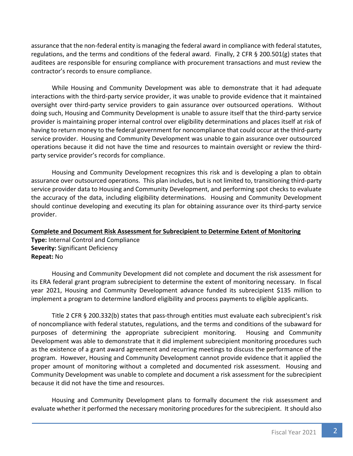assurance that the non-federal entity is managing the federal award in compliance with federal statutes, regulations, and the terms and conditions of the federal award. Finally, 2 CFR § 200.501(g) states that auditees are responsible for ensuring compliance with procurement transactions and must review the contractor's records to ensure compliance.

While Housing and Community Development was able to demonstrate that it had adequate interactions with the third-party service provider, it was unable to provide evidence that it maintained oversight over third-party service providers to gain assurance over outsourced operations. Without doing such, Housing and Community Development is unable to assure itself that the third-party service provider is maintaining proper internal control over eligibility determinations and places itself at risk of having to return money to the federal government for noncompliance that could occur at the third-party service provider. Housing and Community Development was unable to gain assurance over outsourced operations because it did not have the time and resources to maintain oversight or review the thirdparty service provider's records for compliance.

Housing and Community Development recognizes this risk and is developing a plan to obtain assurance over outsourced operations. This plan includes, but is not limited to, transitioning third-party service provider data to Housing and Community Development, and performing spot checks to evaluate the accuracy of the data, including eligibility determinations. Housing and Community Development should continue developing and executing its plan for obtaining assurance over its third-party service provider.

#### **Complete and Document Risk Assessment for Subrecipient to Determine Extent of Monitoring**

**Type:** Internal Control and Compliance **Severity:** Significant Deficiency **Repeat:** No

Housing and Community Development did not complete and document the risk assessment for its ERA federal grant program subrecipient to determine the extent of monitoring necessary. In fiscal year 2021, Housing and Community Development advance funded its subrecipient \$135 million to implement a program to determine landlord eligibility and process payments to eligible applicants.

Title 2 CFR § 200.332(b) states that pass-through entities must evaluate each subrecipient's risk of noncompliance with federal statutes, regulations, and the terms and conditions of the subaward for purposes of determining the appropriate subrecipient monitoring. Housing and Community Development was able to demonstrate that it did implement subrecipient monitoring procedures such as the existence of a grant award agreement and recurring meetings to discuss the performance of the program. However, Housing and Community Development cannot provide evidence that it applied the proper amount of monitoring without a completed and documented risk assessment. Housing and Community Development was unable to complete and document a risk assessment for the subrecipient because it did not have the time and resources.

Housing and Community Development plans to formally document the risk assessment and evaluate whether it performed the necessary monitoring procedures for the subrecipient. It should also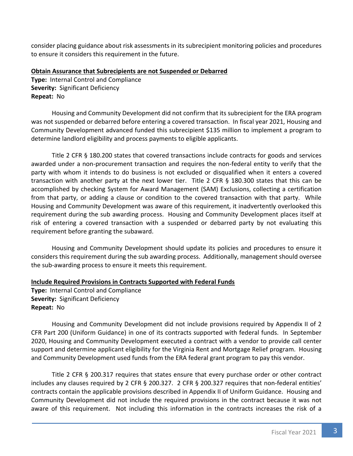consider placing guidance about risk assessments in its subrecipient monitoring policies and procedures to ensure it considers this requirement in the future.

#### **Obtain Assurance that Subrecipients are not Suspended or Debarred**

**Type:** Internal Control and Compliance **Severity:** Significant Deficiency **Repeat:** No

Housing and Community Development did not confirm that its subrecipient for the ERA program was not suspended or debarred before entering a covered transaction. In fiscal year 2021, Housing and Community Development advanced funded this subrecipient \$135 million to implement a program to determine landlord eligibility and process payments to eligible applicants.

Title 2 CFR § 180.200 states that covered transactions include contracts for goods and services awarded under a non-procurement transaction and requires the non-federal entity to verify that the party with whom it intends to do business is not excluded or disqualified when it enters a covered transaction with another party at the next lower tier. Title 2 CFR § 180.300 states that this can be accomplished by checking System for Award Management (SAM) Exclusions, collecting a certification from that party, or adding a clause or condition to the covered transaction with that party. While Housing and Community Development was aware of this requirement, it inadvertently overlooked this requirement during the sub awarding process. Housing and Community Development places itself at risk of entering a covered transaction with a suspended or debarred party by not evaluating this requirement before granting the subaward.

Housing and Community Development should update its policies and procedures to ensure it considers this requirement during the sub awarding process. Additionally, management should oversee the sub-awarding process to ensure it meets this requirement.

#### **Include Required Provisions in Contracts Supported with Federal Funds**

**Type:** Internal Control and Compliance **Severity:** Significant Deficiency **Repeat:** No

Housing and Community Development did not include provisions required by Appendix II of 2 CFR Part 200 (Uniform Guidance) in one of its contracts supported with federal funds. In September 2020, Housing and Community Development executed a contract with a vendor to provide call center support and determine applicant eligibility for the Virginia Rent and Mortgage Relief program. Housing and Community Development used funds from the ERA federal grant program to pay this vendor.

Title 2 CFR § 200.317 requires that states ensure that every purchase order or other contract includes any clauses required by 2 CFR § 200.327. 2 CFR § 200.327 requires that non-federal entities' contracts contain the applicable provisions described in Appendix II of Uniform Guidance. Housing and Community Development did not include the required provisions in the contract because it was not aware of this requirement. Not including this information in the contracts increases the risk of a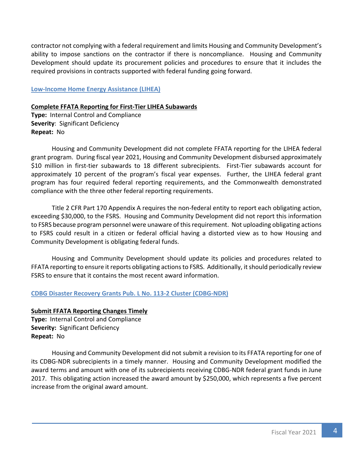contractor not complying with a federal requirement and limits Housing and Community Development's ability to impose sanctions on the contractor if there is noncompliance. Housing and Community Development should update its procurement policies and procedures to ensure that it includes the required provisions in contracts supported with federal funding going forward.

#### **Low-Income Home Energy Assistance (LIHEA)**

#### **Complete FFATA Reporting for First-Tier LIHEA Subawards**

**Type:** Internal Control and Compliance **Severity**: Significant Deficiency **Repeat:** No

Housing and Community Development did not complete FFATA reporting for the LIHEA federal grant program. During fiscal year 2021, Housing and Community Development disbursed approximately \$10 million in first-tier subawards to 18 different subrecipients. First-Tier subawards account for approximately 10 percent of the program's fiscal year expenses. Further, the LIHEA federal grant program has four required federal reporting requirements, and the Commonwealth demonstrated compliance with the three other federal reporting requirements.

Title 2 CFR Part 170 Appendix A requires the non-federal entity to report each obligating action, exceeding \$30,000, to the FSRS. Housing and Community Development did not report this information to FSRS because program personnel were unaware of this requirement. Not uploading obligating actions to FSRS could result in a citizen or federal official having a distorted view as to how Housing and Community Development is obligating federal funds.

Housing and Community Development should update its policies and procedures related to FFATA reporting to ensure it reports obligating actions to FSRS. Additionally, it should periodically review FSRS to ensure that it contains the most recent award information.

#### **CDBG Disaster Recovery Grants Pub. L No. 113-2 Cluster (CDBG-NDR)**

#### **Submit FFATA Reporting Changes Timely**

**Type:** Internal Control and Compliance **Severity:** Significant Deficiency **Repeat:** No

Housing and Community Development did not submit a revision to its FFATA reporting for one of its CDBG-NDR subrecipients in a timely manner. Housing and Community Development modified the award terms and amount with one of its subrecipients receiving CDBG-NDR federal grant funds in June 2017. This obligating action increased the award amount by \$250,000, which represents a five percent increase from the original award amount.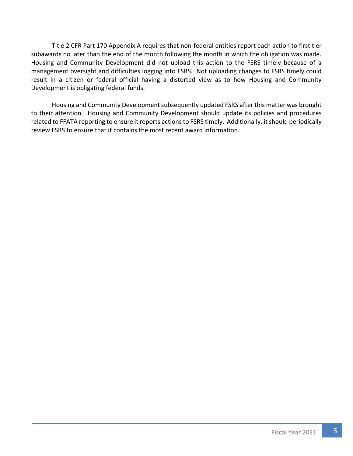Title 2 CFR Part 170 Appendix A requires that non-federal entities report each action to first tier subawards no later than the end of the month following the month in which the obligation was made. Housing and Community Development did not upload this action to the FSRS timely because of a management oversight and difficulties logging into FSRS. Not uploading changes to FSRS timely could result in a citizen or federal official having a distorted view as to how Housing and Community Development is obligating federal funds.

Housing and Community Development subsequently updated FSRS after this matter was brought to their attention. Housing and Community Development should update its policies and procedures related to FFATA reporting to ensure it reports actions to FSRS timely. Additionally, it should periodically review FSRS to ensure that it contains the most recent award information.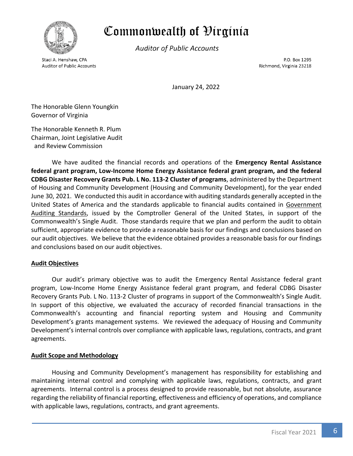<span id="page-8-0"></span>

# Commonwealth of Øirginia

**Auditor of Public Accounts** 

Staci A. Henshaw, CPA **Auditor of Public Accounts** 

P.O. Box 1295 Richmond, Virginia 23218

January 24, 2022

The Honorable Glenn Youngkin Governor of Virginia

The Honorable Kenneth R. Plum Chairman, Joint Legislative Audit and Review Commission

We have audited the financial records and operations of the **Emergency Rental Assistance federal grant program, Low-Income Home Energy Assistance federal grant program, and the federal CDBG Disaster Recovery Grants Pub. L No. 113-2 Cluster of programs**, administered by the Department of Housing and Community Development (Housing and Community Development), for the year ended June 30, 2021. We conducted this audit in accordance with auditing standards generally accepted in the United States of America and the standards applicable to financial audits contained in Government Auditing Standards, issued by the Comptroller General of the United States, in support of the Commonwealth's Single Audit. Those standards require that we plan and perform the audit to obtain sufficient, appropriate evidence to provide a reasonable basis for our findings and conclusions based on our audit objectives. We believe that the evidence obtained provides a reasonable basis for our findings and conclusions based on our audit objectives.

#### **Audit Objectives**

Our audit's primary objective was to audit the Emergency Rental Assistance federal grant program, Low-Income Home Energy Assistance federal grant program, and federal CDBG Disaster Recovery Grants Pub. L No. 113-2 Cluster of programs in support of the Commonwealth's Single Audit. In support of this objective, we evaluated the accuracy of recorded financial transactions in the Commonwealth's accounting and financial reporting system and Housing and Community Development's grants management systems. We reviewed the adequacy of Housing and Community Development's internal controls over compliance with applicable laws, regulations, contracts, and grant agreements.

#### **Audit Scope and Methodology**

Housing and Community Development's management has responsibility for establishing and maintaining internal control and complying with applicable laws, regulations, contracts, and grant agreements. Internal control is a process designed to provide reasonable, but not absolute, assurance regarding the reliability of financial reporting, effectiveness and efficiency of operations, and compliance with applicable laws, regulations, contracts, and grant agreements.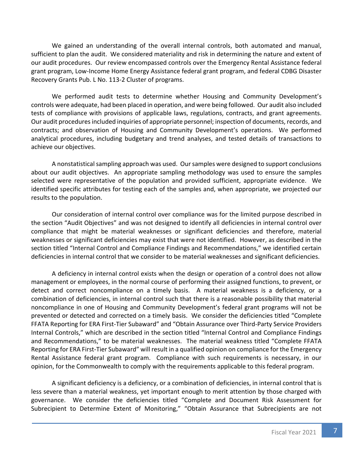We gained an understanding of the overall internal controls, both automated and manual, sufficient to plan the audit. We considered materiality and risk in determining the nature and extent of our audit procedures. Our review encompassed controls over the Emergency Rental Assistance federal grant program, Low-Income Home Energy Assistance federal grant program, and federal CDBG Disaster Recovery Grants Pub. L No. 113-2 Cluster of programs.

We performed audit tests to determine whether Housing and Community Development's controls were adequate, had been placed in operation, and were being followed. Our audit also included tests of compliance with provisions of applicable laws, regulations, contracts, and grant agreements. Our audit procedures included inquiries of appropriate personnel; inspection of documents, records, and contracts; and observation of Housing and Community Development's operations. We performed analytical procedures, including budgetary and trend analyses, and tested details of transactions to achieve our objectives.

A nonstatistical sampling approach was used. Our samples were designed to support conclusions about our audit objectives. An appropriate sampling methodology was used to ensure the samples selected were representative of the population and provided sufficient, appropriate evidence. We identified specific attributes for testing each of the samples and, when appropriate, we projected our results to the population.

Our consideration of internal control over compliance was for the limited purpose described in the section "Audit Objectives" and was not designed to identify all deficiencies in internal control over compliance that might be material weaknesses or significant deficiencies and therefore, material weaknesses or significant deficiencies may exist that were not identified. However, as described in the section titled "Internal Control and Compliance Findings and Recommendations," we identified certain deficiencies in internal control that we consider to be material weaknesses and significant deficiencies.

A deficiency in internal control exists when the design or operation of a control does not allow management or employees, in the normal course of performing their assigned functions, to prevent, or detect and correct noncompliance on a timely basis. A material weakness is a deficiency, or a combination of deficiencies, in internal control such that there is a reasonable possibility that material noncompliance in one of Housing and Community Development's federal grant programs will not be prevented or detected and corrected on a timely basis. We consider the deficiencies titled "Complete FFATA Reporting for ERA First-Tier Subaward" and "Obtain Assurance over Third-Party Service Providers Internal Controls," which are described in the section titled "Internal Control and Compliance Findings and Recommendations," to be material weaknesses. The material weakness titled "Complete FFATA Reporting for ERA First-Tier Subaward" will result in a qualified opinion on compliance for the Emergency Rental Assistance federal grant program. Compliance with such requirements is necessary, in our opinion, for the Commonwealth to comply with the requirements applicable to this federal program.

A significant deficiency is a deficiency, or a combination of deficiencies, in internal control that is less severe than a material weakness, yet important enough to merit attention by those charged with governance. We consider the deficiencies titled "Complete and Document Risk Assessment for Subrecipient to Determine Extent of Monitoring," "Obtain Assurance that Subrecipients are not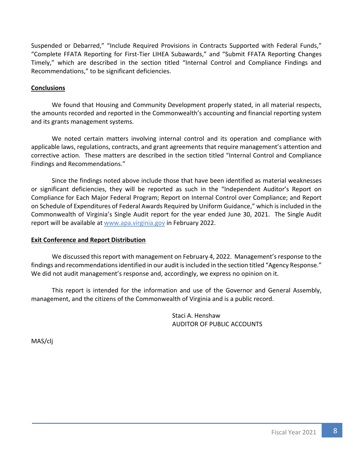Suspended or Debarred," "Include Required Provisions in Contracts Supported with Federal Funds," "Complete FFATA Reporting for First-Tier LIHEA Subawards," and "Submit FFATA Reporting Changes Timely," which are described in the section titled "Internal Control and Compliance Findings and Recommendations," to be significant deficiencies.

#### **Conclusions**

We found that Housing and Community Development properly stated, in all material respects, the amounts recorded and reported in the Commonwealth's accounting and financial reporting system and its grants management systems.

We noted certain matters involving internal control and its operation and compliance with applicable laws, regulations, contracts, and grant agreements that require management's attention and corrective action. These matters are described in the section titled "Internal Control and Compliance Findings and Recommendations."

Since the findings noted above include those that have been identified as material weaknesses or significant deficiencies, they will be reported as such in the "Independent Auditor's Report on Compliance for Each Major Federal Program; Report on Internal Control over Compliance; and Report on Schedule of Expenditures of Federal Awards Required by Uniform Guidance," which is included in the Commonwealth of Virginia's Single Audit report for the year ended June 30, 2021. The Single Audit report will be available a[t www.apa.virginia.gov](http://www.apa.virginia.gov/) in February 2022.

#### **Exit Conference and Report Distribution**

We discussed this report with management on February 4, 2022. Management's response to the findings and recommendations identified in our audit is included in the section titled "Agency Response." We did not audit management's response and, accordingly, we express no opinion on it.

This report is intended for the information and use of the Governor and General Assembly, management, and the citizens of the Commonwealth of Virginia and is a public record.

> Staci A. Henshaw AUDITOR OF PUBLIC ACCOUNTS

MAS/clj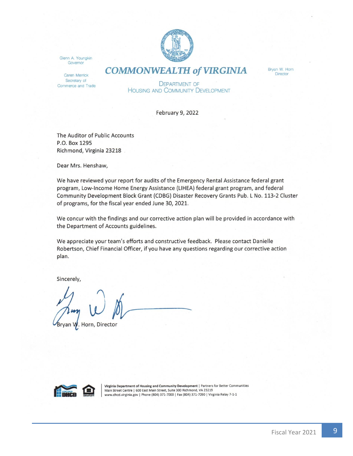

<span id="page-11-0"></span>Glenn A. Youngkin Governor

Caren Merrick Secretary of Commerce and Trade **COMMONWEALTH of VIRGINIA** 

Bryan W. Horn **Director** 

**DEPARTMENT OF HOUSING AND COMMUNITY DEVELOPMENT** 

February 9, 2022

The Auditor of Public Accounts P.O. Box 1295 Richmond, Virginia 23218

Dear Mrs. Henshaw,

We have reviewed your report for audits of the Emergency Rental Assistance federal grant program, Low-Income Home Energy Assistance (LIHEA) federal grant program, and federal Community Development Block Grant (CDBG) Disaster Recovery Grants Pub. L No. 113-2 Cluster of programs, for the fiscal year ended June 30, 2021.

We concur with the findings and our corrective action plan will be provided in accordance with the Department of Accounts guidelines.

We appreciate your team's efforts and constructive feedback. Please contact Danielle Robertson, Chief Financial Officer, if you have any questions regarding our corrective action plan.

Sincerely,

ryan W. Horn, Director



Virginia Department of Housing and Community Development | Partners for Better Communities Main Street Centre | 600 East Main Street, Suite 300 Richmond, VA 23219 www.dhcd.virginia.gov | Phone (804) 371-7000 | Fax (804) 371-7090 | Virginia Relay 7-1-1